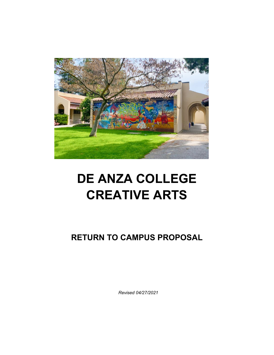

# **DE ANZA COLLEGE CREATIVE ARTS**

**RETURN TO CAMPUS PROPOSAL**

 *Revised 04/27/2021*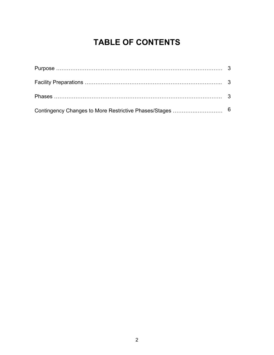# **TABLE OF CONTENTS**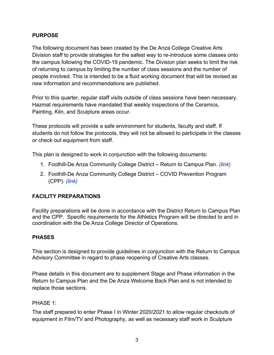### **PURPOSE**

The following document has been created by the De Anza College Creative Arts Division staff to provide strategies for the safest way to re-introduce some classes onto the campus following the COVID-19 pandemic. The Division plan seeks to limit the risk of returning to campus by limiting the number of class sessions and the number of people involved. This is intended to be a fluid working document that will be revised as new information and recommendations are published.

Prior to this quarter, regular staff visits outside of class sessions have been necessary. Hazmat requirements have mandated that weekly inspections of the Ceramics, Painting, Kiln, and Sculpture areas occur.

These protocols will provide a safe environment for students, faculty and staff. If students do not follow the protocols, they will not be allowed to participate in the classes or check out equipment from staff.

This plan is designed to work in conjunction with the following documents:

- 1. Foothill-De Anza Community College District Return to Campus Plan. *(link)*
- 2. Foothill-De Anza Community College District COVID Prevention Program (CPP). *(link)*

#### **FACILITY PREPARATIONS**

Facility preparations will be done in accordance with the District Return to Campus Plan and the CPP. Specific requirements for the Athletics Program will be directed to and in coordination with the De Anza College Director of Operations.

#### **PHASES**

This section is designed to provide guidelines in conjunction with the Return to Campus Advisory Committee in regard to phase reopening of Creative Arts classes.

Phase details in this document are to supplement Stage and Phase information in the Return to Campus Plan and the De Anza Welcome Back Plan and is not intended to replace those sections.

#### PHASE 1:

The staff prepared to enter Phase I in Winter 2020/2021 to allow regular checkouts of equipment in Film/TV and Photography, as well as necessary staff work in Sculpture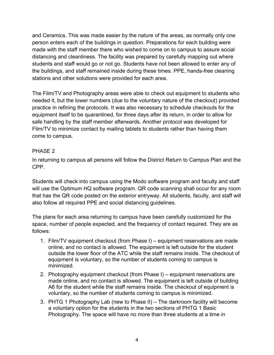and Ceramics. This was made easier by the nature of the areas, as normally only one person enters each of the buildings in question. Preparations for each building were made with the staff member there who wished to come on to campus to assure social distancing and cleanliness. The facility was prepared by carefully mapping out where students and staff would go or not go. Students have not been allowed to enter any of the buildings, and staff remained inside during these times. PPE, hands-free cleaning stations and other solutions were provided for each area.

The Film/TV and Photography areas were able to check out equipment to students who needed it, but the lower numbers (due to the voluntary nature of the checkout) provided practice in refining the protocols. It was also necessary to schedule checkouts for the equipment itself to be quarantined, for three days after its return, in order to allow for safe handling by the staff member afterwards. Another protocol was developed for Film/TV to minimize contact by mailing tablets to students rather than having them come to campus.

## PHASE 2

In returning to campus all persons will follow the District Return to Campus Plan and the CPP.

Students will check into campus using the Modo software program and faculty and staff will use the Optimum HQ software program. QR code scanning shall occur for any room that has the QR code posted on the exterior entryway. All students, faculty, and staff will also follow all required PPE and social distancing guidelines.

The plans for each area returning to campus have been carefully customized for the space, number of people expected, and the frequency of contact required. They are as follows:

- 1. Film/TV equipment checkout (from Phase I) equipment reservations are made online, and no contact is allowed. The equipment is left outside for the student outside the lower floor of the ATC while the staff remains inside. The checkout of equipment is voluntary, so the number of students coming to campus is minimized.
- 2. Photography equipment checkout (from Phase I) equipment reservations are made online, and no contact is allowed. The equipment is left outside of building A6 for the student while the staff remains inside. The checkout of equipment is voluntary, so the number of students coming to campus is minimized.
- 3. PHTG 1 Photography Lab (new to Phase II) The darkroom facility will become a voluntary option for the students in the two sections of PHTG 1 Basic Photography. The space will have no more than three students at a time in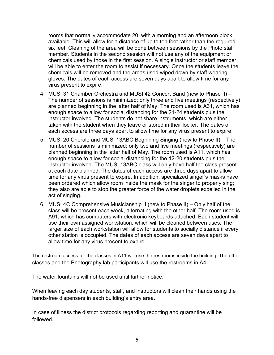rooms that normally accommodate 20, with a morning and an afternoon block available. This will allow for a distance of up to ten feet rather than the required six feet. Cleaning of the area will be done between sessions by the Photo staff member. Students in the second session will not use any of the equipment or chemicals used by those in the first session. A single instructor or staff member will be able to enter the room to assist if necessary. Once the students leave the chemicals will be removed and the areas used wiped down by staff wearing gloves. The dates of each access are seven days apart to allow time for any virus present to expire.

- 4. MUSI 31 Chamber Orchestra and MUSI 42 Concert Band (new to Phase II) The number of sessions is minimized; only three and five meetings (respectively) are planned beginning in the latter half of May. The room used is A31, which has enough space to allow for social distancing for the 21-24 students plus the instructor involved. The students do not share instruments, which are either taken with the student when they leave or stored in their locker. The dates of each access are three days apart to allow time for any virus present to expire.
- 5. MUSI 20 Chorale and MUSI 13ABC Beginning Singing (new to Phase II) The number of sessions is minimized; only two and five meetings (respectively) are planned beginning in the latter half of May. The room used is A11, which has enough space to allow for social distancing for the 12-20 students plus the instructor involved. The MUSI 13ABC class will only have half the class present at each date planned. The dates of each access are three days apart to allow time for any virus present to expire. In addition, specialized singer's masks have been ordered which allow room inside the mask for the singer to properly sing; they also are able to stop the greater force of the water droplets expelled in the act of singing.
- 6. MUSI 4C Comprehensive Musicianship II (new to Phase II) Only half of the class will be present each week, alternating with the other half. The room used is A91, which has computers with electronic keyboards attached. Each student will use their own assigned workstation, which will be cleaned between uses. The larger size of each workstation will allow for students to socially distance if every other station is occupied. The dates of each access are seven days apart to allow time for any virus present to expire.

The restroom access for the classes in A11 will use the restrooms inside the building. The other classes and the Photography lab participants will use the restrooms in A4.

The water fountains will not be used until further notice.

When leaving each day students, staff, and instructors will clean their hands using the hands-free dispensers in each building's entry area.

In case of illness the district protocols regarding reporting and quarantine will be followed.